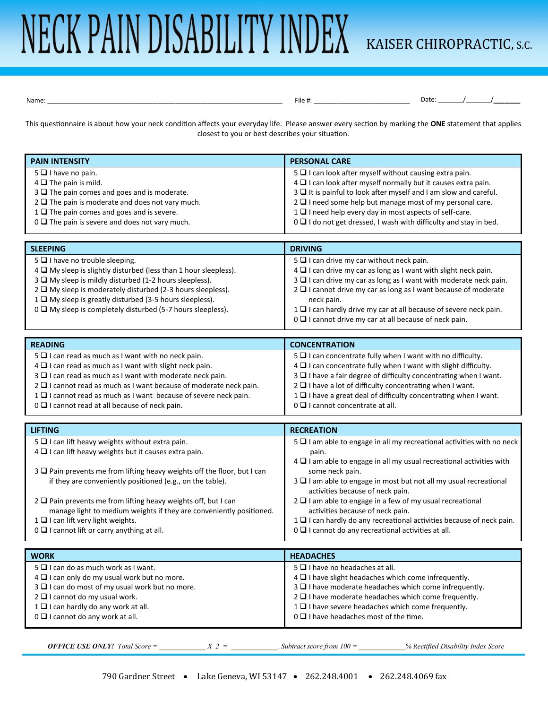## NECK PAIN DISABILITY INDEX KAISER CHIROPRACTIC, S.C.

Name: \_\_\_\_\_\_\_\_\_\_\_\_\_\_\_\_\_\_\_\_\_\_\_\_\_\_\_\_\_\_\_\_\_\_\_\_\_\_\_\_\_\_\_\_\_\_\_\_\_\_\_\_\_\_\_\_\_\_\_\_\_\_\_\_\_\_ File #: \_\_\_\_\_\_\_\_\_\_\_\_\_\_\_\_\_\_\_\_\_\_\_\_\_\_\_ Date: \_\_\_\_\_\_\_/\_\_\_\_\_\_\_/\_\_\_\_\_

This questionnaire is about how your neck condition affects your everyday life. Please answer every section by marking the **ONE** statement that applies closest to you or best describes your situation.

| <b>PAIN INTENSITY</b>                                                      | <b>PERSONAL CARE</b>                                                      |
|----------------------------------------------------------------------------|---------------------------------------------------------------------------|
| 5 I have no pain.                                                          | 5 T I can look after myself without causing extra pain.                   |
| $4 \square$ The pain is mild.                                              | 4 I can look after myself normally but it causes extra pain.              |
| $3\Box$ The pain comes and goes and is moderate.                           | 3 It is painful to look after myself and I am slow and careful.           |
| $2 \square$ The pain is moderate and does not vary much.                   | $2 \square$ I need some help but manage most of my personal care.         |
| $1 \square$ The pain comes and goes and is severe.                         | 1 I need help every day in most aspects of self-care.                     |
| $0 \square$ The pain is severe and does not vary much.                     | 0 I I do not get dressed, I wash with difficulty and stay in bed.         |
|                                                                            |                                                                           |
| <b>SLEEPING</b>                                                            | <b>DRIVING</b>                                                            |
| 5 I have no trouble sleeping.                                              | 5 I can drive my car without neck pain.                                   |
| 4 My sleep is slightly disturbed (less than 1 hour sleepless).             | 4 I can drive my car as long as I want with slight neck pain.             |
| 3 My sleep is mildly disturbed (1-2 hours sleepless).                      | 3 I can drive my car as long as I want with moderate neck pain.           |
| 2 □ My sleep is moderately disturbed (2-3 hours sleepless).                | 2 □ I cannot drive my car as long as I want because of moderate           |
| 1 □ My sleep is greatly disturbed (3-5 hours sleepless).                   | neck pain.                                                                |
| 0 □ My sleep is completely disturbed (5-7 hours sleepless).                | 1 I can hardly drive my car at all because of severe neck pain.           |
|                                                                            | 0 I cannot drive my car at all because of neck pain.                      |
|                                                                            |                                                                           |
| <b>READING</b>                                                             | <b>CONCENTRATION</b>                                                      |
| $5 \square$ I can read as much as I want with no neck pain.                | 5 I can concentrate fully when I want with no difficulty.                 |
| $4 \square$ I can read as much as I want with slight neck pain.            | 4 I can concentrate fully when I want with slight difficulty.             |
| 3 I can read as much as I want with moderate neck pain.                    | 3 $\square$ I have a fair degree of difficulty concentrating when I want. |
| $2 \square$ I cannot read as much as I want because of moderate neck pain. | $2 \square$ I have a lot of difficulty concentrating when I want.         |
| 1 lannot read as much as I want because of severe neck pain.               | 1 □ I have a great deal of difficulty concentrating when I want.          |
| 0 □ I cannot read at all because of neck pain.                             | 0 □ I cannot concentrate at all.                                          |
|                                                                            |                                                                           |
| <b>LIFTING</b>                                                             | <b>RECREATION</b>                                                         |
| 5 I can lift heavy weights without extra pain.                             | 5 I am able to engage in all my recreational activities with no neck      |
| 4 I can lift heavy weights but it causes extra pain.                       | pain.                                                                     |
|                                                                            | 4 I am able to engage in all my usual recreational activities with        |
| 3 Q Pain prevents me from lifting heavy weights off the floor, but I can   | some neck pain.                                                           |
| if they are conveniently positioned (e.g., on the table).                  | 3 □ I am able to engage in most but not all my usual recreational         |
|                                                                            | activities because of neck pain.                                          |
| 2 □ Pain prevents me from lifting heavy weights off, but I can             | 2 □ I am able to engage in a few of my usual recreational                 |
| manage light to medium weights if they are conveniently positioned.        | activities because of neck pain.                                          |
| 1 I can lift very light weights.                                           | 1 I can hardly do any recreational activities because of neck pain.       |
| 0 □ I cannot lift or carry anything at all.                                | 0 □ I cannot do any recreational activities at all.                       |
|                                                                            |                                                                           |
| <b>WORK</b>                                                                | <b>HEADACHES</b>                                                          |
| $5 \square$ I can do as much work as I want.                               | $5 \Box$ I have no headaches at all.                                      |
| 4 I can only do my usual work but no more.                                 | 4 I have slight headaches which come infrequently.                        |

 $2 \square$  I cannot do my usual work.  $1 \square$  I can hardly do any work at all.  $0 \square$  I cannot do any work at all.

 $3 \square$  I can do most of my usual work but no more.

*OFFICE USE ONLY! Total Score* =  $\angle X$  2 =  $\angle Y$  *Subtract score from 100* =  $\angle$ % Rectified Disability Index Score

 $3 \square$  I have moderate headaches which come infrequently.  $2 \square$  I have moderate headaches which come frequently.  $1 \square$  I have severe headaches which come frequently.

 $0 \square$  I have headaches most of the time.